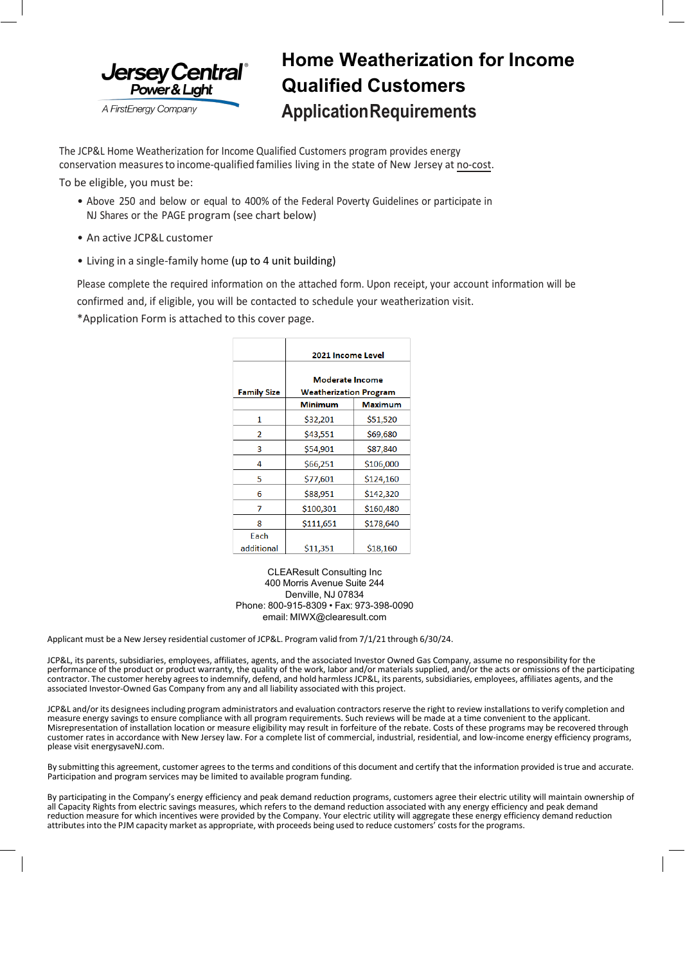

## **Home Weatherization for Income Qualified Customers ApplicationRequirements**

The JCP&L Home Weatherization for Income Qualified Customers program provides energy conservation measuresto income-qualified families living in the state of New Jersey at no-cost.

To be eligible, you must be:

- Above 250 and below or equal to 400% of the Federal Poverty Guidelines or participate in NJ Shares or the PAGE program (see chart below)
- An active JCP&L customer
- Living in a single-family home (up to 4 unit building)

Please complete the required information on the attached form. Upon receipt, your account information will be confirmed and, if eligible, you will be contacted to schedule your weatherization visit.

\*Application Form is attached to this cover page.

|                    | 2021 Income Level                                |                |  |
|--------------------|--------------------------------------------------|----------------|--|
| <b>Family Size</b> | Moderate Income<br><b>Weatherization Program</b> |                |  |
|                    | <b>Minimum</b>                                   | <b>Maximum</b> |  |
| 1                  | \$32,201                                         | \$51,520       |  |
| 2                  | \$43,551                                         | \$69,680       |  |
| 3                  | \$54,901                                         | \$87,840       |  |
| 4                  | \$66,251                                         | \$106,000      |  |
| 5                  | \$77,601                                         | \$124,160      |  |
| 6                  | \$88,951                                         | \$142,320      |  |
| 7                  | \$100,301                                        | \$160,480      |  |
| 8                  | \$111,651                                        | \$178,640      |  |
| Each               |                                                  |                |  |
| additional         | \$11,351                                         | \$18,160       |  |

CLEAResult Consulting Inc 400 Morris Avenue Suite 244 Denville, NJ 07834 Phone: 800-915-8309 • Fax: 973-398-0090 email: [MIWX@clearesult.com](mailto:MIWX@clearesult.com)

Applicant must be a New Jersey residential customer of JCP&L. Program valid from 7/1/21 through 6/30/24.

JCP&L, its parents, subsidiaries, employees, affiliates, agents, and the associated Investor Owned Gas Company, assume no responsibility for the performance of the product or product warranty, the quality of the work, labor and/or materials supplied, and/or the acts or omissions of the participating contractor. The customer hereby agrees to indemnify, defend, and hold harmless JCP&L, its parents, subsidiaries, employees, affiliates agents, and the associated Investor-Owned Gas Company from any and all liability associated with this project.

JCP&L and/or its designees including program administrators and evaluation contractors reserve the right to review installations to verify completion and measure energy savings to ensure compliance with all program requirements. Such reviews will be made at a time convenient to the applicant. Misrepresentation of installation location or measure eligibility may result in forfeiture of the rebate. Costs of these programs may be recovered through customer rates in accordance with New Jersey law. For a complete list of commercial, industrial, residential, and low-income energy efficiency programs, please visit energysaveNJ.com.

By submitting this agreement, customer agrees to the terms and conditions of this document and certify that the information provided is true and accurate. Participation and program services may be limited to available program funding.

By participating in the Company's energy efficiency and peak demand reduction programs, customers agree their electric utility will maintain ownership of all Capacity Rights from electric savings measures, which refers to the demand reduction associated with any energy efficiency and peak demand reduction measure for which incentives were provided by the Company. Your electric utility will aggregate these energy efficiency demand reduction attributes into the PJM capacity market as appropriate, with proceeds being used to reduce customers' costsfor the programs.